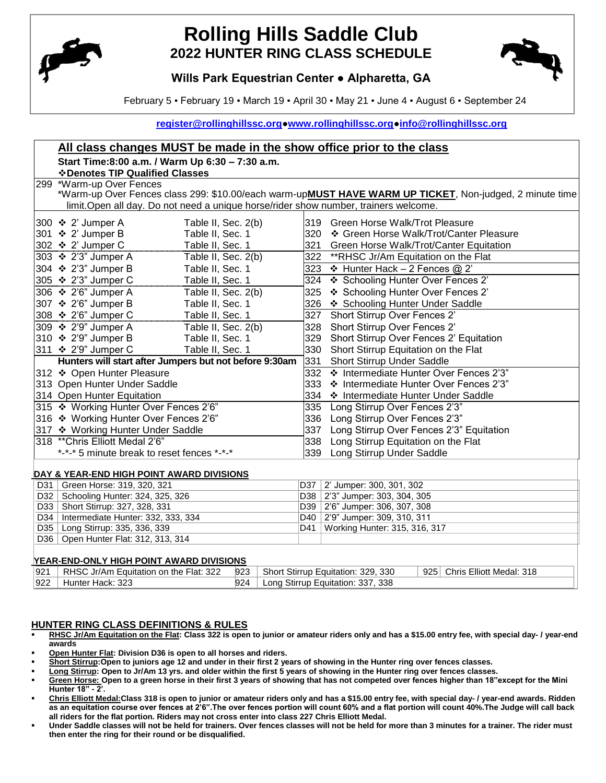

# **Rolling Hills Saddle Club 2022 HUNTER RING CLASS SCHEDULE**



## **Wills Park Equestrian Center ● Alpharetta, GA**

February 5 ▪ February 19 ▪ March 19 ▪ April 30 ▪ May 21 ▪ June 4 ▪ August 6 ▪ September 24

**[register@rollinghillssc.org](mailto:register@rollinghillssc.org)[●www.rollinghillssc.org●](http://www.rollinghillssc.org/)[info@rollinghillssc.org](mailto:info@rollinghillssc.org)**

|                                                 | All class changes MUST be made in the show office prior to the class                                                   |     |                                   |                                  |                                                                                                         |  |
|-------------------------------------------------|------------------------------------------------------------------------------------------------------------------------|-----|-----------------------------------|----------------------------------|---------------------------------------------------------------------------------------------------------|--|
|                                                 | Start Time:8:00 a.m. / Warm Up 6:30 - 7:30 a.m.                                                                        |     |                                   |                                  |                                                                                                         |  |
|                                                 | ❖ Denotes TIP Qualified Classes                                                                                        |     |                                   |                                  |                                                                                                         |  |
| 299 *Warm-up Over Fences                        |                                                                                                                        |     |                                   |                                  |                                                                                                         |  |
|                                                 |                                                                                                                        |     |                                   |                                  | *Warm-up Over Fences class 299: \$10.00/each warm-upMUST HAVE WARM UP TICKET, Non-judged, 2 minute time |  |
|                                                 | limit. Open all day. Do not need a unique horse/rider show number, trainers welcome.                                   |     |                                   |                                  |                                                                                                         |  |
|                                                 | 300 ❖ 2' Jumper A<br>Table II, Sec. 2(b)                                                                               |     |                                   |                                  | 319 Green Horse Walk/Trot Pleasure                                                                      |  |
|                                                 | 301 ❖ 2' Jumper B<br>Table II, Sec. 1                                                                                  |     |                                   |                                  | 320 * Green Horse Walk/Trot/Canter Pleasure                                                             |  |
|                                                 | 302 ❖ 2' Jumper C<br>Table II, Sec. 1                                                                                  |     |                                   |                                  | 321 Green Horse Walk/Trot/Canter Equitation                                                             |  |
|                                                 | 303 ❖ 2'3" Jumper A<br>Table II, Sec. 2(b)                                                                             |     |                                   |                                  | 322 **RHSC Jr/Am Equitation on the Flat                                                                 |  |
|                                                 | 304 ❖ 2'3" Jumper B<br>Table II, Sec. 1                                                                                |     |                                   |                                  | 323 $\div$ Hunter Hack - 2 Fences @ 2'                                                                  |  |
|                                                 | 305 ❖ 2'3" Jumper C<br>Table II, Sec. 1                                                                                |     |                                   |                                  | 324 ❖ Schooling Hunter Over Fences 2'                                                                   |  |
|                                                 | 306 ❖ 2'6" Jumper A<br>Table II, Sec. 2(b)                                                                             |     |                                   | 325                              | ❖ Schooling Hunter Over Fences 2'                                                                       |  |
|                                                 | 307 ❖ 2'6" Jumper B<br>Table II, Sec. 1                                                                                |     |                                   |                                  | 326 ❖ Schooling Hunter Under Saddle                                                                     |  |
|                                                 | 308 ❖ 2'6" Jumper C<br>Table II, Sec. 1                                                                                |     |                                   |                                  | 327 Short Stirrup Over Fences 2'                                                                        |  |
|                                                 | 309 ❖ 2'9" Jumper A<br>Table II, Sec. 2(b)                                                                             |     |                                   |                                  | 328 Short Stirrup Over Fences 2'                                                                        |  |
|                                                 | 310 ❖ 2'9" Jumper B<br>Table II, Sec. 1                                                                                |     |                                   |                                  | 329 Short Stirrup Over Fences 2' Equitation                                                             |  |
|                                                 | 311 ❖ 2'9" Jumper C<br>Table II, Sec. 1                                                                                |     |                                   |                                  | 330 Short Stirrup Equitation on the Flat                                                                |  |
|                                                 | Hunters will start after Jumpers but not before 9:30am                                                                 |     |                                   | 331                              | Short Stirrup Under Saddle                                                                              |  |
|                                                 | 312 ❖ Open Hunter Pleasure                                                                                             |     |                                   |                                  | 332 ❖ Intermediate Hunter Over Fences 2'3"                                                              |  |
|                                                 | 313 Open Hunter Under Saddle                                                                                           |     |                                   |                                  | 333 ❖ Intermediate Hunter Over Fences 2'3"                                                              |  |
|                                                 | 314 Open Hunter Equitation                                                                                             |     |                                   |                                  | 334 ❖ Intermediate Hunter Under Saddle                                                                  |  |
|                                                 | 315 ❖ Working Hunter Over Fences 2'6"                                                                                  |     |                                   |                                  | 335 Long Stirrup Over Fences 2'3"                                                                       |  |
|                                                 | 316 ❖ Working Hunter Over Fences 2'6"                                                                                  |     |                                   |                                  | 336 Long Stirrup Over Fences 2'3"                                                                       |  |
|                                                 | 317 ❖ Working Hunter Under Saddle                                                                                      |     |                                   |                                  | 337 Long Stirrup Over Fences 2'3" Equitation                                                            |  |
|                                                 | 318 ** Chris Elliott Medal 2'6"                                                                                        |     |                                   | 338                              | Long Stirrup Equitation on the Flat                                                                     |  |
|                                                 | *-*-* 5 minute break to reset fences *-*-*                                                                             |     |                                   |                                  | 339 Long Stirrup Under Saddle                                                                           |  |
|                                                 |                                                                                                                        |     |                                   |                                  |                                                                                                         |  |
|                                                 | DAY & YEAR-END HIGH POINT AWARD DIVISIONS                                                                              |     |                                   |                                  |                                                                                                         |  |
| D31                                             | Green Horse: 319, 320, 321<br>D32   Schooling Hunter: 324, 325, 326                                                    |     |                                   | D37                              | 2' Jumper: 300, 301, 302<br>D38 2'3" Jumper: 303, 304, 305                                              |  |
|                                                 | D33   Short Stirrup: 327, 328, 331                                                                                     |     |                                   | D39   2'6" Jumper: 306, 307, 308 |                                                                                                         |  |
|                                                 | D34   Intermediate Hunter: 332, 333, 334                                                                               |     |                                   | D40   2'9" Jumper: 309, 310, 311 |                                                                                                         |  |
|                                                 | D35   Long Stirrup: 335, 336, 339                                                                                      |     | D41                               | Working Hunter: 315, 316, 317    |                                                                                                         |  |
|                                                 | D36   Open Hunter Flat: 312, 313, 314                                                                                  |     |                                   |                                  |                                                                                                         |  |
|                                                 |                                                                                                                        |     |                                   |                                  |                                                                                                         |  |
| <b>YEAR-END-ONLY HIGH POINT AWARD DIVISIONS</b> |                                                                                                                        |     |                                   |                                  |                                                                                                         |  |
| 921                                             | RHSC Jr/Am Equitation on the Flat: 322<br>Short Stirrup Equitation: 329, 330<br>Chris Elliott Medal: 318<br>923<br>925 |     |                                   |                                  |                                                                                                         |  |
| 922                                             | Hunter Hack: 323                                                                                                       | 924 | Long Stirrup Equitation: 337, 338 |                                  |                                                                                                         |  |

### **HUNTER RING CLASS DEFINITIONS & RULES**

- **RHSC Jr/Am Equitation on the Flat: Class 322 is open to junior or amateur riders only and has a \$15.00 entry fee, with special day- / year-end awards**
- **Open Hunter Flat: Division D36 is open to all horses and riders.**
- **Short Stirrup:Open to juniors age 12 and under in their first 2 years of showing in the Hunter ring over fences classes.**
- **Long Stirrup: Open to Jr/Am 13 yrs. and older within the first 5 years of showing in the Hunter ring over fences classes.**
- **Green Horse: Open to a green horse in their first 3 years of showing that has not competed over fences higher than 18"except for the Mini Hunter 18" - 2'.**
- **Chris Elliott Medal:Class 318 is open to junior or amateur riders only and has a \$15.00 entry fee, with special day- / year-end awards. Ridden as an equitation course over fences at 2'6".The over fences portion will count 60% and a flat portion will count 40%.The Judge will call back all riders for the flat portion. Riders may not cross enter into class 227 Chris Elliott Medal.**
- **Under Saddle classes will not be held for trainers. Over fences classes will not be held for more than 3 minutes for a trainer. The rider must then enter the ring for their round or be disqualified.**